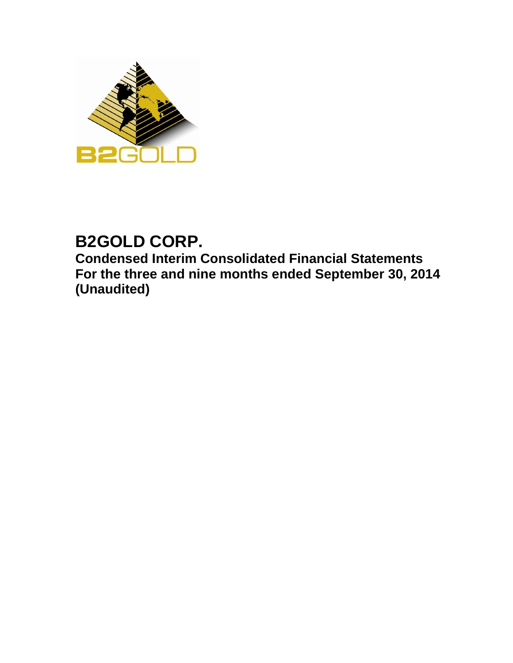

# **B2GOLD CORP.**

**Condensed Interim Consolidated Financial Statements For the three and nine months ended September 30, 2014 (Unaudited)**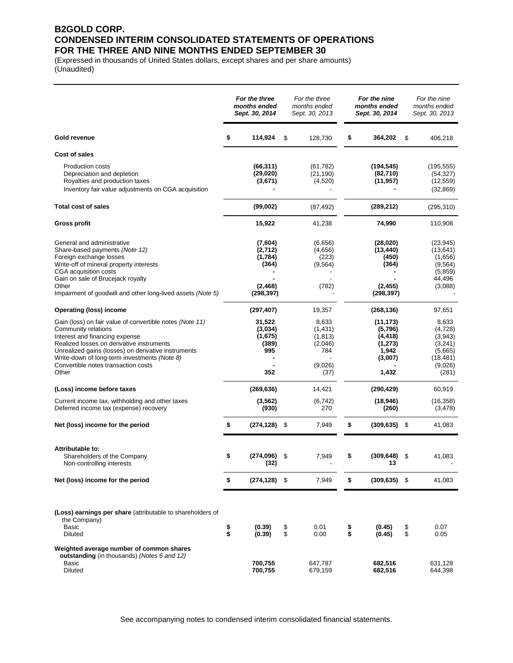## **B2GOLD CORP. CONDENSED INTERIM CONSOLIDATED STATEMENTS OF OPERATIONS FOR THE THREE AND NINE MONTHS ENDED SEPTEMBER 30**

(Expressed in thousands of United States dollars, except shares and per share amounts) (Unaudited)

|                                                                                                                                                                                                                                                                                                                       |          | For the three<br>months ended<br>Sept. 30, 2014                  |          | For the three<br>months ended<br>Sept. 30, 2013                   |          | For the nine<br>months ended<br>Sept. 30, 2014                            |          | For the nine<br>months ended<br>Sept. 30, 2013                                      |
|-----------------------------------------------------------------------------------------------------------------------------------------------------------------------------------------------------------------------------------------------------------------------------------------------------------------------|----------|------------------------------------------------------------------|----------|-------------------------------------------------------------------|----------|---------------------------------------------------------------------------|----------|-------------------------------------------------------------------------------------|
| Gold revenue                                                                                                                                                                                                                                                                                                          | \$       | 114,924                                                          | \$       | 128,730                                                           | \$       | 364,202                                                                   | \$       | 406,218                                                                             |
| Cost of sales                                                                                                                                                                                                                                                                                                         |          |                                                                  |          |                                                                   |          |                                                                           |          |                                                                                     |
| <b>Production costs</b><br>Depreciation and depletion<br>Royalties and production taxes<br>Inventory fair value adjustments on CGA acquisition                                                                                                                                                                        |          | (66, 311)<br>(29,020)<br>(3,671)                                 |          | (61, 782)<br>(21, 190)<br>(4,520)                                 |          | (194, 545)<br>(82,710)<br>(11, 957)                                       |          | (195, 555)<br>(54, 327)<br>(12, 559)<br>(32, 869)                                   |
| <b>Total cost of sales</b>                                                                                                                                                                                                                                                                                            |          | (99,002)                                                         |          | (87, 492)                                                         |          | (289, 212)                                                                |          | (295, 310)                                                                          |
| <b>Gross profit</b>                                                                                                                                                                                                                                                                                                   |          | 15,922                                                           |          | 41,238                                                            |          | 74,990                                                                    |          | 110,908                                                                             |
| General and administrative<br>Share-based payments (Note 12)<br>Foreign exchange losses<br>Write-off of mineral property interests<br>CGA acquisition costs<br>Gain on sale of Brucejack royalty<br>Other<br>Impairment of goodwill and other long-lived assets (Note 5)                                              |          | (7,604)<br>(2,712)<br>(1,784)<br>(364)<br>(2, 468)<br>(298, 397) |          | (6,656)<br>(4,656)<br>(223)<br>(9, 564)<br>(782)                  |          | (28, 020)<br>(13, 440)<br>(450)<br>(364)<br>(2, 455)<br>(298, 397)        |          | (23, 945)<br>(13, 641)<br>(1,656)<br>(9, 564)<br>(5, 859)<br>44,496<br>(3,088)      |
| <b>Operating (loss) income</b>                                                                                                                                                                                                                                                                                        |          | (297, 407)                                                       |          | 19,357                                                            |          | (268, 136)                                                                |          | 97,651                                                                              |
| Gain (loss) on fair value of convertible notes (Note 11)<br>Community relations<br>Interest and financing expense<br>Realized losses on derivative instruments<br>Unrealized gains (losses) on derivative instruments<br>Write-down of long-term investments (Note 8)<br>Convertible notes transaction costs<br>Other |          | 31,522<br>(3,034)<br>(1,675)<br>(389)<br>995<br>352              |          | 8,633<br>(1,431)<br>(1, 813)<br>(2,046)<br>784<br>(9,026)<br>(37) |          | (11, 173)<br>(5,796)<br>(4, 418)<br>(1, 273)<br>1,942<br>(3,007)<br>1,432 |          | 8,633<br>(4, 728)<br>(3,943)<br>(3,241)<br>(5,665)<br>(18, 481)<br>(9,026)<br>(281) |
| (Loss) income before taxes                                                                                                                                                                                                                                                                                            |          | (269, 636)                                                       |          | 14,421                                                            |          | (290, 429)                                                                |          | 60,919                                                                              |
| Current income tax, withholding and other taxes<br>Deferred income tax (expense) recovery                                                                                                                                                                                                                             |          | (3, 562)<br>(930)                                                |          | (6, 742)<br>270                                                   |          | (18, 946)<br>(260)                                                        |          | (16, 358)<br>(3, 478)                                                               |
| Net (loss) income for the period                                                                                                                                                                                                                                                                                      | \$       | $(274, 128)$ \$                                                  |          | 7,949                                                             | \$       | (309, 635)                                                                | \$       | 41,083                                                                              |
| Attributable to:<br>Shareholders of the Company<br>Non-controlling interests                                                                                                                                                                                                                                          | \$       | (274, 096)<br>(32)                                               | \$       | 7,949                                                             | \$       | (309, 648)                                                                | \$       | 41,083                                                                              |
| Net (loss) income for the period                                                                                                                                                                                                                                                                                      | \$       | (274,128)                                                        | \$       | 7,949                                                             | \$       | (309, 635)                                                                | \$       | 41,083                                                                              |
| (Loss) earnings per share (attributable to shareholders of<br>the Company)<br>Basic<br>Diluted                                                                                                                                                                                                                        | \$<br>\$ | (0.39)<br>(0.39)                                                 | \$<br>\$ | 0.01<br>0.00                                                      | \$<br>\$ | (0.45)<br>(0.45)                                                          | \$<br>\$ | 0.07<br>0.05                                                                        |
| Weighted average number of common shares<br><b>outstanding</b> (in thousands) (Notes 6 and 12)<br><b>Basic</b><br>Diluted                                                                                                                                                                                             |          | 700,755<br>700,755                                               |          | 647,787<br>679,159                                                |          | 682,516<br>682,516                                                        |          | 631,128<br>644,398                                                                  |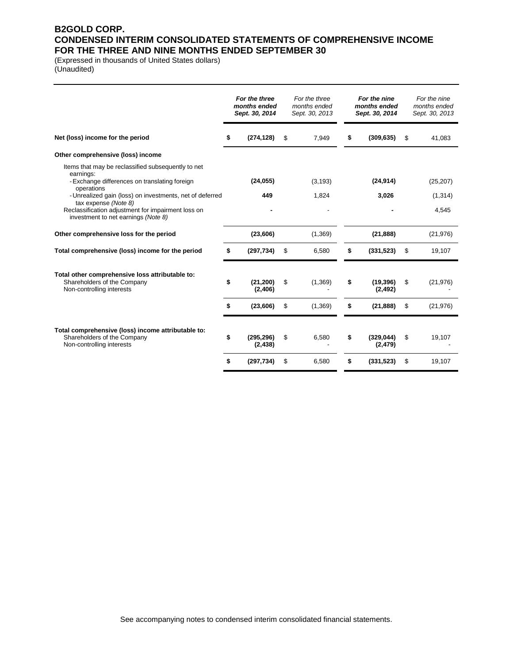## **B2GOLD CORP. CONDENSED INTERIM CONSOLIDATED STATEMENTS OF COMPREHENSIVE INCOME FOR THE THREE AND NINE MONTHS ENDED SEPTEMBER 30**

(Expressed in thousands of United States dollars) (Unaudited)

|                                                                                                                | For the three<br>months ended<br>Sept. 30, 2014 | For the three<br>months ended<br>Sept. 30, 2013 | For the nine<br>months ended<br>Sept. 30, 2014 | For the nine<br>months ended<br>Sept. 30, 2013 |
|----------------------------------------------------------------------------------------------------------------|-------------------------------------------------|-------------------------------------------------|------------------------------------------------|------------------------------------------------|
| Net (loss) income for the period                                                                               | \$<br>(274, 128)                                | \$<br>7,949                                     | \$<br>(309, 635)                               | \$<br>41,083                                   |
| Other comprehensive (loss) income                                                                              |                                                 |                                                 |                                                |                                                |
| Items that may be reclassified subsequently to net<br>earnings:                                                |                                                 |                                                 |                                                |                                                |
| - Exchange differences on translating foreign<br>operations                                                    | (24, 055)                                       | (3, 193)                                        | (24, 914)                                      | (25, 207)                                      |
| - Unrealized gain (loss) on investments, net of deferred<br>tax expense (Note 8)                               | 449                                             | 1,824                                           | 3,026                                          | (1, 314)                                       |
| Reclassification adjustment for impairment loss on<br>investment to net earnings (Note 8)                      |                                                 |                                                 |                                                | 4,545                                          |
| Other comprehensive loss for the period                                                                        | (23, 606)                                       | (1,369)                                         | (21, 888)                                      | (21, 976)                                      |
| Total comprehensive (loss) income for the period                                                               | (297, 734)                                      | \$<br>6,580                                     | \$<br>(331, 523)                               | \$<br>19,107                                   |
| Total other comprehensive loss attributable to:                                                                |                                                 |                                                 |                                                |                                                |
| Shareholders of the Company<br>Non-controlling interests                                                       | \$<br>(21, 200)<br>(2,406)                      | \$<br>(1,369)                                   | \$<br>(19, 396)<br>(2, 492)                    | \$<br>(21, 976)                                |
|                                                                                                                | \$<br>(23, 606)                                 | \$<br>(1,369)                                   | \$<br>(21, 888)                                | \$<br>(21, 976)                                |
|                                                                                                                |                                                 |                                                 |                                                |                                                |
| Total comprehensive (loss) income attributable to:<br>Shareholders of the Company<br>Non-controlling interests | \$<br>(295, 296)<br>(2, 438)                    | \$<br>6,580                                     | \$<br>(329, 044)<br>(2, 479)                   | \$<br>19,107                                   |
|                                                                                                                | \$<br>(297, 734)                                | \$<br>6,580                                     | \$<br>(331, 523)                               | \$<br>19,107                                   |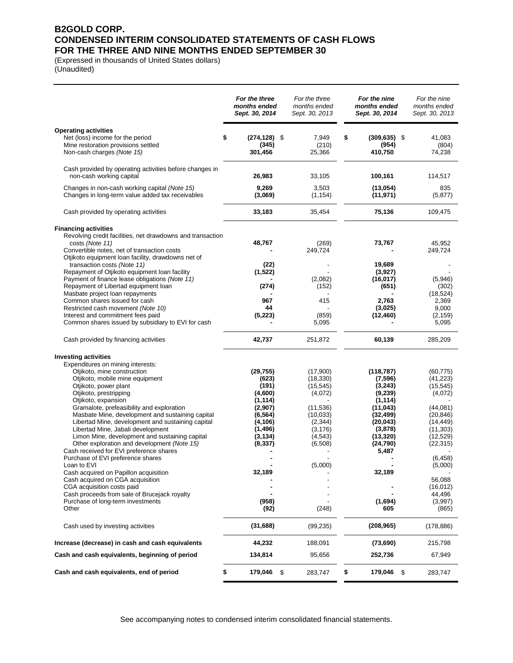## **B2GOLD CORP. CONDENSED INTERIM CONSOLIDATED STATEMENTS OF CASH FLOWS FOR THE THREE AND NINE MONTHS ENDED SEPTEMBER 30**

(Expressed in thousands of United States dollars) (Unaudited)

|                                                                                                                                                                                                                                                                                                                 | For the three<br>months ended<br>Sept. 30, 2014                              | For the three<br>months ended<br>Sept. 30, 2013                       | For the nine<br>months ended<br>Sept. 30, 2014                                       | For the nine<br>months ended<br>Sept. 30, 2013                            |
|-----------------------------------------------------------------------------------------------------------------------------------------------------------------------------------------------------------------------------------------------------------------------------------------------------------------|------------------------------------------------------------------------------|-----------------------------------------------------------------------|--------------------------------------------------------------------------------------|---------------------------------------------------------------------------|
| <b>Operating activities</b><br>Net (loss) income for the period<br>Mine restoration provisions settled<br>Non-cash charges (Note 15)                                                                                                                                                                            | \$<br>(274,128) \$<br>(345)<br>301,456                                       | 7,949<br>(210)<br>25,366                                              | \$<br>$(309, 635)$ \$<br>(954)<br>410,750                                            | 41,083<br>(804)<br>74,238                                                 |
| Cash provided by operating activities before changes in<br>non-cash working capital                                                                                                                                                                                                                             | 26,983                                                                       | 33,105                                                                | 100,161                                                                              | 114,517                                                                   |
| Changes in non-cash working capital (Note 15)<br>Changes in long-term value added tax receivables                                                                                                                                                                                                               | 9,269<br>(3,069)                                                             | 3,503<br>(1, 154)                                                     | (13,054)<br>(11, 971)                                                                | 835<br>(5, 877)                                                           |
| Cash provided by operating activities                                                                                                                                                                                                                                                                           | 33,183                                                                       | 35,454                                                                | 75,136                                                                               | 109,475                                                                   |
| <b>Financing activities</b><br>Revolving credit facilities, net drawdowns and transaction<br>costs (Note 11)<br>Convertible notes, net of transaction costs                                                                                                                                                     | 48,767                                                                       | (269)<br>249,724                                                      | 73,767                                                                               | 45,952<br>249,724                                                         |
| Otjikoto equipment loan facility, drawdowns net of<br>transaction costs (Note 11)<br>Repayment of Otjikoto equipment loan facility<br>Payment of finance lease obligations (Note 11)<br>Repayment of Libertad equipment loan                                                                                    | (22)<br>(1, 522)<br>(274)                                                    | (2,082)<br>(152)                                                      | 19,689<br>(3,927)<br>(16, 017)<br>(651)                                              | (5,946)<br>(302)                                                          |
| Masbate project loan repayments<br>Common shares issued for cash<br>Restricted cash movement (Note 10)<br>Interest and commitment fees paid<br>Common shares issued by subsidiary to EVI for cash                                                                                                               | 967<br>44<br>(5, 223)                                                        | 415<br>(859)<br>5,095                                                 | 2,763<br>(3,025)<br>(12, 460)                                                        | (18, 524)<br>2,369<br>9,000<br>(2, 159)<br>5,095                          |
| Cash provided by financing activities                                                                                                                                                                                                                                                                           | 42,737                                                                       | 251,872                                                               | 60,139                                                                               | 285,209                                                                   |
| <b>Investing activities</b><br>Expenditures on mining interests:<br>Otjikoto, mine construction<br>Otjikoto, mobile mine equipment<br>Otjikoto, power plant<br>Otjikoto, prestripping                                                                                                                           | (29, 755)<br>(623)<br>(191)<br>(4,600)                                       | (17,900)<br>(18, 330)<br>(15, 545)<br>(4,072)                         | (118, 787)<br>(7, 596)<br>(3,243)<br>(9,239)                                         | (60, 775)<br>(41, 223)<br>(15, 545)<br>(4,072)                            |
| Otjikoto, expansion<br>Gramalote, prefeasibility and exploration<br>Masbate Mine, development and sustaining capital<br>Libertad Mine, development and sustaining capital<br>Libertad Mine, Jabali development<br>Limon Mine, development and sustaining capital<br>Other exploration and development (Note 15) | (1,114)<br>(2,907)<br>(6, 564)<br>(4,106)<br>(1,496)<br>(3, 134)<br>(8, 337) | (11, 536)<br>(10, 033)<br>(2, 344)<br>(3, 176)<br>(4, 543)<br>(6,508) | (1, 114)<br>(11, 043)<br>(32, 499)<br>(20, 043)<br>(3,878)<br>(13, 320)<br>(24, 790) | (44,081)<br>(20, 846)<br>(14, 449)<br>(11, 303)<br>(12, 529)<br>(22, 315) |
| Cash received for EVI preference shares<br>Purchase of EVI preference shares<br>Loan to EVI<br>Cash acquired on Papillon acquisition                                                                                                                                                                            | 32,189                                                                       | (5,000)                                                               | 5,487<br>32,189                                                                      | (6, 458)<br>(5,000)                                                       |
| Cash acquired on CGA acquisition<br>CGA acquisition costs paid<br>Cash proceeds from sale of Brucejack royalty<br>Purchase of long-term investments<br>Other                                                                                                                                                    | (958)<br>(92)                                                                | (248)                                                                 | (1,694)<br>605                                                                       | 56,088<br>(16, 012)<br>44,496<br>(3,997)<br>(865)                         |
| Cash used by investing activities                                                                                                                                                                                                                                                                               | (31, 688)                                                                    | (99, 235)                                                             | (208, 965)                                                                           | (178, 886)                                                                |
| Increase (decrease) in cash and cash equivalents                                                                                                                                                                                                                                                                | 44,232                                                                       | 188,091                                                               | (73, 690)                                                                            | 215,798                                                                   |
| Cash and cash equivalents, beginning of period                                                                                                                                                                                                                                                                  | 134,814                                                                      | 95,656                                                                | 252,736                                                                              | 67,949                                                                    |
| Cash and cash equivalents, end of period                                                                                                                                                                                                                                                                        | \$<br>179,046                                                                | \$<br>283,747                                                         | \$<br>\$<br>179,046                                                                  | 283,747                                                                   |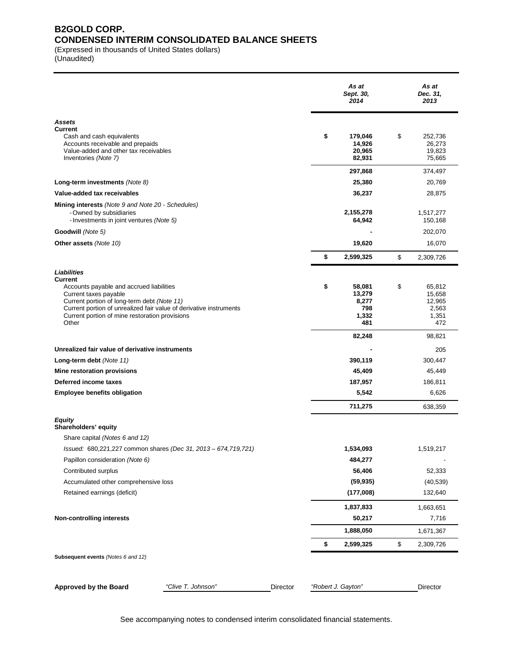## **B2GOLD CORP. CONDENSED INTERIM CONSOLIDATED BALANCE SHEETS**

(Expressed in thousands of United States dollars)

(Unaudited)

|                                                                                                                                                                                                                                                                             | As at<br>Sept. 30,<br>2014                             | As at<br>Dec. 31,<br>2013                                 |
|-----------------------------------------------------------------------------------------------------------------------------------------------------------------------------------------------------------------------------------------------------------------------------|--------------------------------------------------------|-----------------------------------------------------------|
| Assets                                                                                                                                                                                                                                                                      |                                                        |                                                           |
| Current<br>Cash and cash equivalents<br>Accounts receivable and prepaids<br>Value-added and other tax receivables<br>Inventories (Note 7)                                                                                                                                   | \$<br>179,046<br>14,926<br>20,965<br>82,931            | \$<br>252,736<br>26,273<br>19,823<br>75,665               |
|                                                                                                                                                                                                                                                                             | 297,868                                                | 374,497                                                   |
| Long-term investments (Note 8)                                                                                                                                                                                                                                              | 25,380                                                 | 20,769                                                    |
| Value-added tax receivables                                                                                                                                                                                                                                                 | 36,237                                                 | 28,875                                                    |
| <b>Mining interests</b> (Note 9 and Note 20 - Schedules)<br>- Owned by subsidiaries<br>- Investments in joint ventures (Note 5)                                                                                                                                             | 2,155,278<br>64,942                                    | 1,517,277<br>150,168                                      |
| Goodwill (Note 5)                                                                                                                                                                                                                                                           |                                                        | 202,070                                                   |
| Other assets (Note 10)                                                                                                                                                                                                                                                      | 19,620                                                 | 16,070                                                    |
|                                                                                                                                                                                                                                                                             | \$<br>2,599,325                                        | \$<br>2,309,726                                           |
| Liabilities<br>Current<br>Accounts payable and accrued liabilities<br>Current taxes payable<br>Current portion of long-term debt (Note 11)<br>Current portion of unrealized fair value of derivative instruments<br>Current portion of mine restoration provisions<br>Other | \$<br>58,081<br>13,279<br>8,277<br>798<br>1,332<br>481 | \$<br>65,812<br>15,658<br>12,965<br>2,563<br>1,351<br>472 |
|                                                                                                                                                                                                                                                                             | 82,248                                                 | 98,821                                                    |
| Unrealized fair value of derivative instruments                                                                                                                                                                                                                             |                                                        | 205                                                       |
| Long-term debt (Note 11)                                                                                                                                                                                                                                                    | 390,119                                                | 300,447                                                   |
| Mine restoration provisions                                                                                                                                                                                                                                                 | 45,409                                                 | 45,449                                                    |
| Deferred income taxes<br><b>Employee benefits obligation</b>                                                                                                                                                                                                                | 187,957<br>5,542                                       | 186,811                                                   |
|                                                                                                                                                                                                                                                                             | 711,275                                                | 6,626                                                     |
|                                                                                                                                                                                                                                                                             |                                                        | 638,359                                                   |
| Equity<br>Shareholders' equity<br>Share capital (Notes 6 and 12)                                                                                                                                                                                                            |                                                        |                                                           |
| Issued: 680,221,227 common shares (Dec 31, 2013 - 674,719,721)                                                                                                                                                                                                              | 1,534,093                                              | 1,519,217                                                 |
| Papillon consideration (Note 6)                                                                                                                                                                                                                                             | 484,277<br>56,406                                      |                                                           |
| Contributed surplus<br>Accumulated other comprehensive loss                                                                                                                                                                                                                 | (59, 935)                                              | 52,333<br>(40, 539)                                       |
| Retained earnings (deficit)                                                                                                                                                                                                                                                 | (177,008)                                              | 132,640                                                   |
|                                                                                                                                                                                                                                                                             |                                                        |                                                           |
| <b>Non-controlling interests</b>                                                                                                                                                                                                                                            | 1,837,833<br>50,217                                    | 1,663,651<br>7,716                                        |
|                                                                                                                                                                                                                                                                             | 1,888,050                                              | 1,671,367                                                 |
|                                                                                                                                                                                                                                                                             | \$<br>2,599,325                                        | \$<br>2,309,726                                           |
| Subsequent events (Notes 6 and 12)                                                                                                                                                                                                                                          |                                                        |                                                           |
| <b>Approved by the Board</b><br>"Clive T. Johnson"<br>Director                                                                                                                                                                                                              | "Robert J. Gayton"                                     | Director                                                  |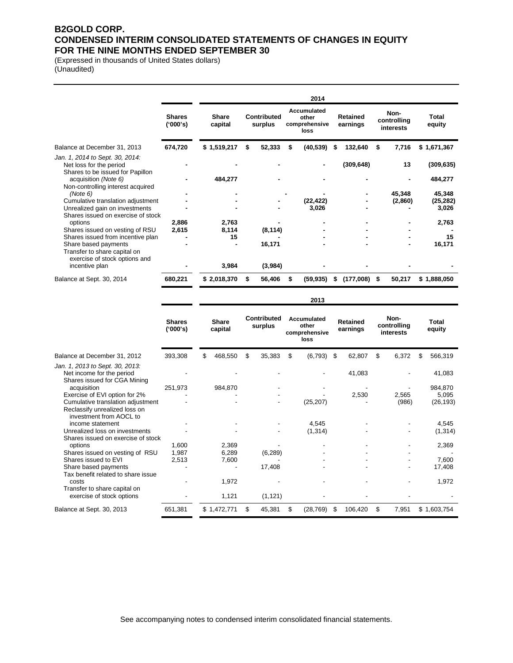## **B2GOLD CORP. CONDENSED INTERIM CONSOLIDATED STATEMENTS OF CHANGES IN EQUITY FOR THE NINE MONTHS ENDED SEPTEMBER 30**

(Expressed in thousands of United States dollars) (Unaudited)

|                                                                                                           |                           |                         |    |                        |   | 2014                                          |    |                             |                                  |                        |
|-----------------------------------------------------------------------------------------------------------|---------------------------|-------------------------|----|------------------------|---|-----------------------------------------------|----|-----------------------------|----------------------------------|------------------------|
|                                                                                                           | <b>Shares</b><br>('000's) | <b>Share</b><br>capital |    | Contributed<br>surplus |   | Accumulated<br>other<br>comprehensive<br>loss |    | <b>Retained</b><br>earnings | Non-<br>controlling<br>interests | <b>Total</b><br>equity |
| Balance at December 31, 2013                                                                              | 674,720                   | \$1,519,217             | S  | 52,333                 | S | (40, 539)                                     | S  | 132,640                     | \$<br>7,716                      | \$1,671,367            |
| Jan. 1, 2014 to Sept. 30, 2014:<br>Net loss for the period                                                |                           |                         |    |                        |   |                                               |    | (309, 648)                  | 13                               | (309, 635)             |
| Shares to be issued for Papillon<br>acquisition (Note 6)<br>Non-controlling interest acquired             |                           | 484,277                 |    |                        |   |                                               |    |                             |                                  | 484,277                |
| (Note 6)                                                                                                  |                           |                         |    |                        |   |                                               |    |                             | 45,348                           | 45,348                 |
| Cumulative translation adjustment<br>Unrealized gain on investments<br>Shares issued on exercise of stock |                           |                         |    |                        |   | (22, 422)<br>3,026                            |    |                             | (2,860)                          | (25, 282)<br>3,026     |
| options                                                                                                   | 2,886                     | 2,763                   |    |                        |   |                                               |    |                             |                                  | 2,763                  |
| Shares issued on vesting of RSU                                                                           | 2,615                     | 8,114                   |    | (8, 114)               |   |                                               |    |                             |                                  |                        |
| Shares issued from incentive plan                                                                         |                           | 15                      |    |                        |   |                                               |    |                             |                                  | 15                     |
| Share based payments<br>Transfer to share capital on<br>exercise of stock options and                     |                           |                         |    | 16,171                 |   |                                               |    |                             |                                  | 16,171                 |
| incentive plan                                                                                            |                           | 3,984                   |    | (3,984)                |   |                                               |    |                             |                                  |                        |
| Balance at Sept. 30, 2014                                                                                 | 680,221                   | \$2,018,370             | S. | 56,406                 | S | (59, 935)                                     | 55 | $(177,008)$ \$              | 50,217                           | \$1,888,050            |

**2013**

|                                                                                               | <b>Shares</b><br>('000's) |     | Contributed<br><b>Share</b><br>surplus<br>capital |    | Accumulated<br>other<br>comprehensive<br>loss |    | <b>Retained</b><br>earnings |    | Non-<br>controlling<br>interests |    | <b>Total</b><br>equity |    |             |
|-----------------------------------------------------------------------------------------------|---------------------------|-----|---------------------------------------------------|----|-----------------------------------------------|----|-----------------------------|----|----------------------------------|----|------------------------|----|-------------|
| Balance at December 31, 2012                                                                  | 393,308                   | \$. | 468,550                                           | \$ | 35,383                                        | \$ | (6, 793)                    | \$ | 62,807                           | \$ | 6,372                  | \$ | 566,319     |
| Jan. 1, 2013 to Sept. 30, 2013:<br>Net income for the period<br>Shares issued for CGA Mining  |                           |     |                                                   |    |                                               |    |                             |    | 41,083                           |    |                        |    | 41,083      |
| acquisition                                                                                   | 251,973                   |     | 984,870                                           |    |                                               |    |                             |    |                                  |    |                        |    | 984,870     |
| Exercise of EVI option for 2%                                                                 |                           |     |                                                   |    |                                               |    |                             |    | 2,530                            |    | 2,565                  |    | 5,095       |
| Cumulative translation adjustment<br>Reclassify unrealized loss on<br>investment from AOCL to |                           |     |                                                   |    |                                               |    | (25, 207)                   |    |                                  |    | (986)                  |    | (26, 193)   |
| income statement                                                                              |                           |     |                                                   |    |                                               |    | 4,545                       |    |                                  |    |                        |    | 4,545       |
| Unrealized loss on investments<br>Shares issued on exercise of stock                          |                           |     |                                                   |    |                                               |    | (1, 314)                    |    |                                  |    |                        |    | (1, 314)    |
| options                                                                                       | 1,600                     |     | 2,369                                             |    |                                               |    |                             |    |                                  |    |                        |    | 2,369       |
| Shares issued on vesting of RSU                                                               | 1,987                     |     | 6,289                                             |    | (6, 289)                                      |    |                             |    |                                  |    |                        |    |             |
| Shares issued to EVI                                                                          | 2,513                     |     | 7,600                                             |    |                                               |    |                             |    |                                  |    |                        |    | 7,600       |
| Share based payments                                                                          |                           |     |                                                   |    | 17,408                                        |    |                             |    |                                  |    |                        |    | 17,408      |
| Tax benefit related to share issue                                                            |                           |     |                                                   |    |                                               |    |                             |    |                                  |    |                        |    |             |
| costs                                                                                         |                           |     | 1,972                                             |    |                                               |    |                             |    |                                  |    |                        |    | 1,972       |
| Transfer to share capital on<br>exercise of stock options                                     |                           |     | 1,121                                             |    | (1, 121)                                      |    |                             |    |                                  |    |                        |    |             |
| Balance at Sept. 30, 2013                                                                     | 651,381                   |     | \$1,472,771                                       | S  | 45,381                                        | \$ | (28, 769)                   | \$ | 106,420                          | \$ | 7,951                  |    | \$1,603,754 |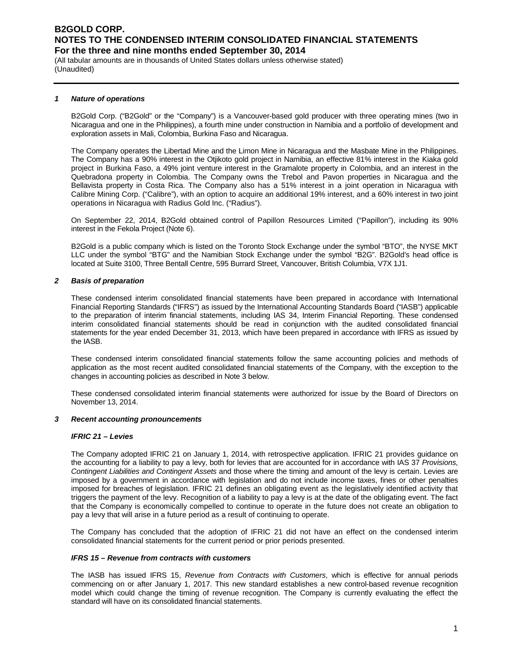(All tabular amounts are in thousands of United States dollars unless otherwise stated) (Unaudited)

#### *1 Nature of operations*

B2Gold Corp. ("B2Gold" or the "Company") is a Vancouver-based gold producer with three operating mines (two in Nicaragua and one in the Philippines), a fourth mine under construction in Namibia and a portfolio of development and exploration assets in Mali, Colombia, Burkina Faso and Nicaragua.

The Company operates the Libertad Mine and the Limon Mine in Nicaragua and the Masbate Mine in the Philippines. The Company has a 90% interest in the Otjikoto gold project in Namibia, an effective 81% interest in the Kiaka gold project in Burkina Faso, a 49% joint venture interest in the Gramalote property in Colombia, and an interest in the Quebradona property in Colombia. The Company owns the Trebol and Pavon properties in Nicaragua and the Bellavista property in Costa Rica. The Company also has a 51% interest in a joint operation in Nicaragua with Calibre Mining Corp. ("Calibre"), with an option to acquire an additional 19% interest, and a 60% interest in two joint operations in Nicaragua with Radius Gold Inc. ("Radius").

On September 22, 2014, B2Gold obtained control of Papillon Resources Limited ("Papillon"), including its 90% interest in the Fekola Project (Note 6).

B2Gold is a public company which is listed on the Toronto Stock Exchange under the symbol "BTO", the NYSE MKT LLC under the symbol "BTG" and the Namibian Stock Exchange under the symbol "B2G". B2Gold's head office is located at Suite 3100, Three Bentall Centre, 595 Burrard Street, Vancouver, British Columbia, V7X 1J1.

#### *2 Basis of preparation*

These condensed interim consolidated financial statements have been prepared in accordance with International Financial Reporting Standards ("IFRS") as issued by the International Accounting Standards Board ("IASB") applicable to the preparation of interim financial statements, including IAS 34, Interim Financial Reporting. These condensed interim consolidated financial statements should be read in conjunction with the audited consolidated financial statements for the year ended December 31, 2013, which have been prepared in accordance with IFRS as issued by the IASB.

These condensed interim consolidated financial statements follow the same accounting policies and methods of application as the most recent audited consolidated financial statements of the Company, with the exception to the changes in accounting policies as described in Note 3 below.

These condensed consolidated interim financial statements were authorized for issue by the Board of Directors on November 13, 2014.

#### *3 Recent accounting pronouncements*

#### *IFRIC 21 – Levies*

The Company adopted IFRIC 21 on January 1, 2014, with retrospective application. IFRIC 21 provides guidance on the accounting for a liability to pay a levy, both for levies that are accounted for in accordance with IAS 37 *Provisions, Contingent Liabilities and Contingent Assets* and those where the timing and amount of the levy is certain. Levies are imposed by a government in accordance with legislation and do not include income taxes, fines or other penalties imposed for breaches of legislation. IFRIC 21 defines an obligating event as the legislatively identified activity that triggers the payment of the levy. Recognition of a liability to pay a levy is at the date of the obligating event. The fact that the Company is economically compelled to continue to operate in the future does not create an obligation to pay a levy that will arise in a future period as a result of continuing to operate.

The Company has concluded that the adoption of IFRIC 21 did not have an effect on the condensed interim consolidated financial statements for the current period or prior periods presented.

#### *IFRS 15 – Revenue from contracts with customers*

The IASB has issued IFRS 15, *Revenue from Contracts with Customers*, which is effective for annual periods commencing on or after January 1, 2017. This new standard establishes a new control-based revenue recognition model which could change the timing of revenue recognition. The Company is currently evaluating the effect the standard will have on its consolidated financial statements.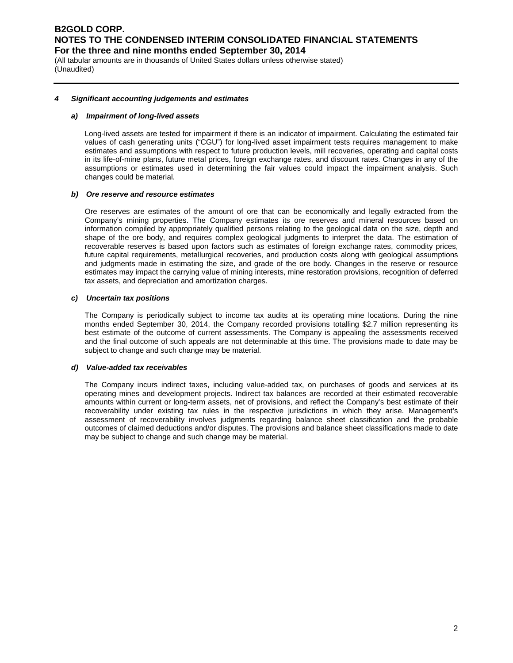(All tabular amounts are in thousands of United States dollars unless otherwise stated) (Unaudited)

#### *4 Significant accounting judgements and estimates*

#### *a) Impairment of long-lived assets*

Long-lived assets are tested for impairment if there is an indicator of impairment. Calculating the estimated fair values of cash generating units ("CGU") for long-lived asset impairment tests requires management to make estimates and assumptions with respect to future production levels, mill recoveries, operating and capital costs in its life-of-mine plans, future metal prices, foreign exchange rates, and discount rates. Changes in any of the assumptions or estimates used in determining the fair values could impact the impairment analysis. Such changes could be material.

#### *b) Ore reserve and resource estimates*

Ore reserves are estimates of the amount of ore that can be economically and legally extracted from the Company's mining properties. The Company estimates its ore reserves and mineral resources based on information compiled by appropriately qualified persons relating to the geological data on the size, depth and shape of the ore body, and requires complex geological judgments to interpret the data. The estimation of recoverable reserves is based upon factors such as estimates of foreign exchange rates, commodity prices, future capital requirements, metallurgical recoveries, and production costs along with geological assumptions and judgments made in estimating the size, and grade of the ore body. Changes in the reserve or resource estimates may impact the carrying value of mining interests, mine restoration provisions, recognition of deferred tax assets, and depreciation and amortization charges.

#### *c) Uncertain tax positions*

The Company is periodically subject to income tax audits at its operating mine locations. During the nine months ended September 30, 2014, the Company recorded provisions totalling \$2.7 million representing its best estimate of the outcome of current assessments. The Company is appealing the assessments received and the final outcome of such appeals are not determinable at this time. The provisions made to date may be subject to change and such change may be material.

#### *d) Value-added tax receivables*

The Company incurs indirect taxes, including value-added tax, on purchases of goods and services at its operating mines and development projects. Indirect tax balances are recorded at their estimated recoverable amounts within current or long-term assets, net of provisions, and reflect the Company's best estimate of their recoverability under existing tax rules in the respective jurisdictions in which they arise. Management's assessment of recoverability involves judgments regarding balance sheet classification and the probable outcomes of claimed deductions and/or disputes. The provisions and balance sheet classifications made to date may be subject to change and such change may be material.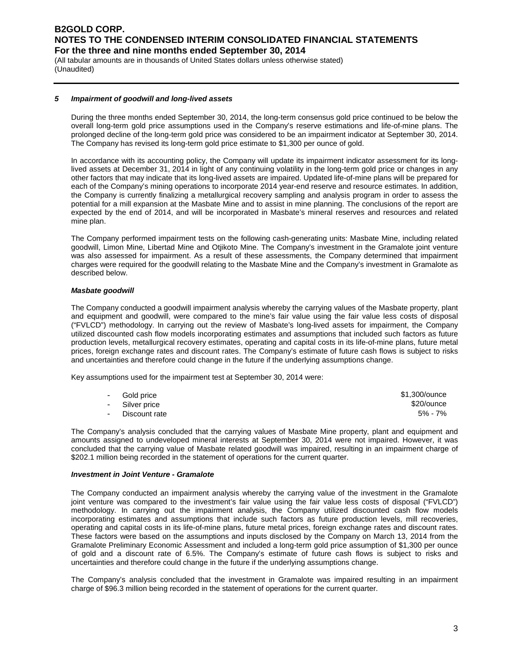(All tabular amounts are in thousands of United States dollars unless otherwise stated) (Unaudited)

#### *5 Impairment of goodwill and long-lived assets*

During the three months ended September 30, 2014, the long-term consensus gold price continued to be below the overall long-term gold price assumptions used in the Company's reserve estimations and life-of-mine plans. The prolonged decline of the long-term gold price was considered to be an impairment indicator at September 30, 2014. The Company has revised its long-term gold price estimate to \$1,300 per ounce of gold.

In accordance with its accounting policy, the Company will update its impairment indicator assessment for its longlived assets at December 31, 2014 in light of any continuing volatility in the long-term gold price or changes in any other factors that may indicate that its long-lived assets are impaired. Updated life-of-mine plans will be prepared for each of the Company's mining operations to incorporate 2014 year-end reserve and resource estimates. In addition, the Company is currently finalizing a metallurgical recovery sampling and analysis program in order to assess the potential for a mill expansion at the Masbate Mine and to assist in mine planning. The conclusions of the report are expected by the end of 2014, and will be incorporated in Masbate's mineral reserves and resources and related mine plan.

The Company performed impairment tests on the following cash-generating units: Masbate Mine, including related goodwill, Limon Mine, Libertad Mine and Otjikoto Mine. The Company's investment in the Gramalote joint venture was also assessed for impairment. As a result of these assessments, the Company determined that impairment charges were required for the goodwill relating to the Masbate Mine and the Company's investment in Gramalote as described below.

#### *Masbate goodwill*

The Company conducted a goodwill impairment analysis whereby the carrying values of the Masbate property, plant and equipment and goodwill, were compared to the mine's fair value using the fair value less costs of disposal ("FVLCD") methodology. In carrying out the review of Masbate's long-lived assets for impairment, the Company utilized discounted cash flow models incorporating estimates and assumptions that included such factors as future production levels, metallurgical recovery estimates, operating and capital costs in its life-of-mine plans, future metal prices, foreign exchange rates and discount rates. The Company's estimate of future cash flows is subject to risks and uncertainties and therefore could change in the future if the underlying assumptions change.

Key assumptions used for the impairment test at September 30, 2014 were:

| - Gold price    | \$1,300/ounce |
|-----------------|---------------|
| - Silver price  | \$20/ounce    |
| - Discount rate | 5% - 7%       |

The Company's analysis concluded that the carrying values of Masbate Mine property, plant and equipment and amounts assigned to undeveloped mineral interests at September 30, 2014 were not impaired. However, it was concluded that the carrying value of Masbate related goodwill was impaired, resulting in an impairment charge of \$202.1 million being recorded in the statement of operations for the current quarter.

#### *Investment in Joint Venture - Gramalote*

The Company conducted an impairment analysis whereby the carrying value of the investment in the Gramalote joint venture was compared to the investment's fair value using the fair value less costs of disposal ("FVLCD") methodology. In carrying out the impairment analysis, the Company utilized discounted cash flow models incorporating estimates and assumptions that include such factors as future production levels, mill recoveries, operating and capital costs in its life-of-mine plans, future metal prices, foreign exchange rates and discount rates. These factors were based on the assumptions and inputs disclosed by the Company on March 13, 2014 from the Gramalote Preliminary Economic Assessment and included a long-term gold price assumption of \$1,300 per ounce of gold and a discount rate of 6.5%. The Company's estimate of future cash flows is subject to risks and uncertainties and therefore could change in the future if the underlying assumptions change.

The Company's analysis concluded that the investment in Gramalote was impaired resulting in an impairment charge of \$96.3 million being recorded in the statement of operations for the current quarter.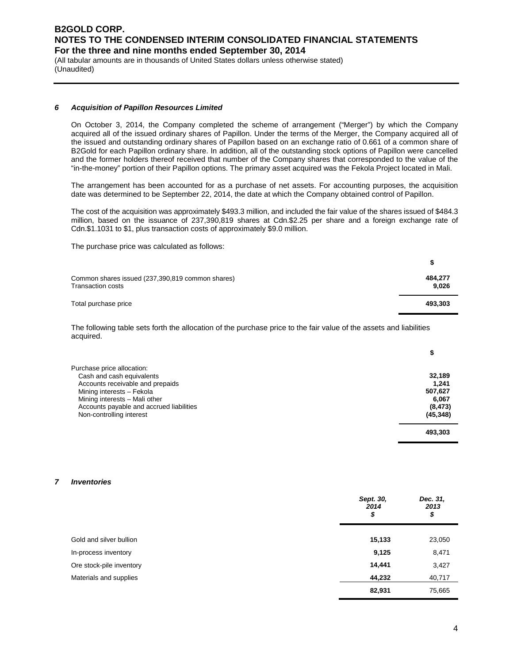(All tabular amounts are in thousands of United States dollars unless otherwise stated) (Unaudited)

#### *6 Acquisition of Papillon Resources Limited*

On October 3, 2014, the Company completed the scheme of arrangement ("Merger") by which the Company acquired all of the issued ordinary shares of Papillon. Under the terms of the Merger, the Company acquired all of the issued and outstanding ordinary shares of Papillon based on an exchange ratio of 0.661 of a common share of B2Gold for each Papillon ordinary share. In addition, all of the outstanding stock options of Papillon were cancelled and the former holders thereof received that number of the Company shares that corresponded to the value of the "in-the-money" portion of their Papillon options. The primary asset acquired was the Fekola Project located in Mali.

The arrangement has been accounted for as a purchase of net assets. For accounting purposes, the acquisition date was determined to be September 22, 2014, the date at which the Company obtained control of Papillon.

The cost of the acquisition was approximately \$493.3 million, and included the fair value of the shares issued of \$484.3 million, based on the issuance of 237,390,819 shares at Cdn.\$2.25 per share and a foreign exchange rate of Cdn.\$1.1031 to \$1, plus transaction costs of approximately \$9.0 million.

The purchase price was calculated as follows:

| Common shares issued (237,390,819 common shares)<br>Transaction costs | 484.277<br>9.026 |
|-----------------------------------------------------------------------|------------------|
| Total purchase price                                                  | 493.303          |

The following table sets forth the allocation of the purchase price to the fair value of the assets and liabilities acquired.

| Purchase price allocation:               |           |
|------------------------------------------|-----------|
| Cash and cash equivalents                | 32,189    |
| Accounts receivable and prepaids         | 1.241     |
| Mining interests - Fekola                | 507,627   |
| Mining interests - Mali other            | 6,067     |
| Accounts payable and accrued liabilities | (8, 473)  |
| Non-controlling interest                 | (45, 348) |
|                                          | 493.303   |

#### *7 Inventories*

|                          | Sept. 30,<br>2014<br>\$ | Dec. 31,<br>2013<br>\$ |
|--------------------------|-------------------------|------------------------|
| Gold and silver bullion  | 15,133                  | 23,050                 |
| In-process inventory     | 9,125                   | 8,471                  |
| Ore stock-pile inventory | 14,441                  | 3,427                  |
| Materials and supplies   | 44,232                  | 40,717                 |
|                          | 82,931                  | 75,665                 |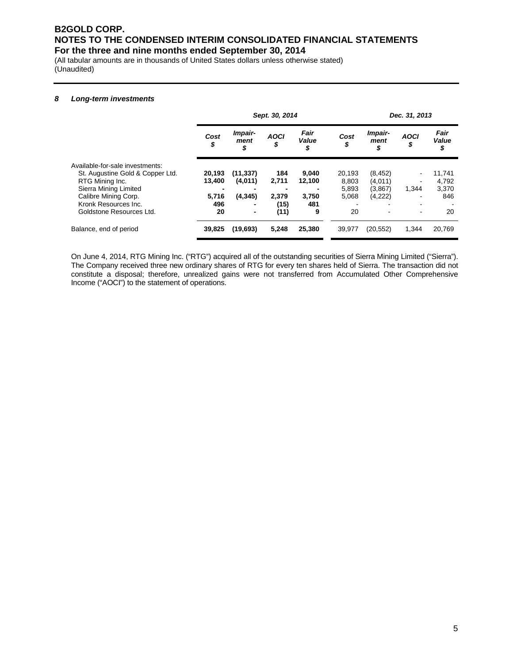(All tabular amounts are in thousands of United States dollars unless otherwise stated) (Unaudited)

#### *8 Long-term investments*

|                                  |            |                          | Sept. 30, 2014    |                     | Dec. 31, 2013 |                       |                          |                     |
|----------------------------------|------------|--------------------------|-------------------|---------------------|---------------|-----------------------|--------------------------|---------------------|
|                                  | Cost<br>\$ | Impair-<br>ment<br>\$    | <b>AOCI</b><br>\$ | Fair<br>Value<br>\$ | Cost<br>\$    | Impair-<br>ment<br>\$ | <b>AOCI</b><br>\$        | Fair<br>Value<br>\$ |
| Available-for-sale investments:  |            |                          |                   |                     |               |                       |                          |                     |
| St. Augustine Gold & Copper Ltd. | 20,193     | (11, 337)                | 184               | 9,040               | 20.193        | (8, 452)              |                          | 11,741              |
| RTG Mining Inc.                  | 13.400     | (4,011)                  | 2,711             | 12,100              | 8,803         | (4,011)               | ٠                        | 4,792               |
| Sierra Mining Limited            |            |                          |                   |                     | 5,893         | (3,867)               | 1.344                    | 3,370               |
| Calibre Mining Corp.             | 5,716      | (4, 345)                 | 2,379             | 3.750               | 5,068         | (4,222)               | -                        | 846                 |
| Kronk Resources Inc.             | 496        |                          | (15)              | 481                 |               |                       |                          |                     |
| Goldstone Resources Ltd.         | 20         | $\overline{\phantom{a}}$ | (11)              | 9                   | 20            |                       | $\overline{\phantom{a}}$ | 20                  |
| Balance, end of period           | 39,825     | (19, 693)                | 5.248             | 25,380              | 39,977        | (20, 552)             | 1,344                    | 20,769              |

On June 4, 2014, RTG Mining Inc. ("RTG") acquired all of the outstanding securities of Sierra Mining Limited ("Sierra"). The Company received three new ordinary shares of RTG for every ten shares held of Sierra. The transaction did not constitute a disposal; therefore, unrealized gains were not transferred from Accumulated Other Comprehensive Income ("AOCI") to the statement of operations.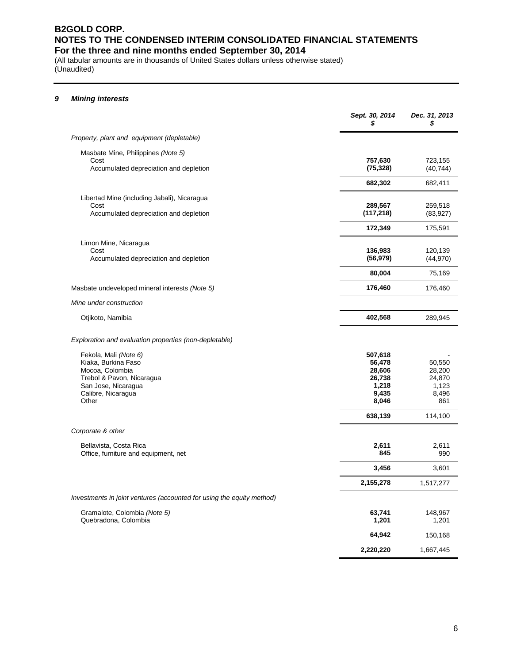(All tabular amounts are in thousands of United States dollars unless otherwise stated) (Unaudited)

## *9 Mining interests*

|                                                                                                                                                    | Sept. 30, 2014<br>S                                                         | Dec. 31, 2013<br>S                                             |
|----------------------------------------------------------------------------------------------------------------------------------------------------|-----------------------------------------------------------------------------|----------------------------------------------------------------|
| Property, plant and equipment (depletable)                                                                                                         |                                                                             |                                                                |
| Masbate Mine, Philippines (Note 5)<br>Cost<br>Accumulated depreciation and depletion                                                               | 757,630<br>(75, 328)                                                        | 723,155<br>(40, 744)                                           |
|                                                                                                                                                    | 682,302                                                                     | 682,411                                                        |
| Libertad Mine (including Jabali), Nicaragua<br>Cost<br>Accumulated depreciation and depletion                                                      | 289,567<br>(117, 218)                                                       | 259,518<br>(83, 927)                                           |
|                                                                                                                                                    | 172,349                                                                     | 175,591                                                        |
| Limon Mine, Nicaragua<br>Cost<br>Accumulated depreciation and depletion                                                                            | 136,983<br>(56, 979)                                                        | 120,139<br>(44, 970)                                           |
|                                                                                                                                                    | 80,004                                                                      | 75,169                                                         |
| Masbate undeveloped mineral interests (Note 5)                                                                                                     | 176,460                                                                     | 176,460                                                        |
| Mine under construction                                                                                                                            |                                                                             |                                                                |
| Otjikoto, Namibia                                                                                                                                  | 402,568                                                                     | 289,945                                                        |
| Exploration and evaluation properties (non-depletable)                                                                                             |                                                                             |                                                                |
| Fekola, Mali (Note 6)<br>Kiaka, Burkina Faso<br>Mocoa, Colombia<br>Trebol & Pavon, Nicaragua<br>San Jose, Nicaragua<br>Calibre, Nicaragua<br>Other | 507,618<br>56,478<br>28,606<br>26,738<br>1,218<br>9,435<br>8,046<br>638,139 | 50,550<br>28,200<br>24,870<br>1,123<br>8,496<br>861<br>114,100 |
| Corporate & other                                                                                                                                  |                                                                             |                                                                |
| Bellavista, Costa Rica<br>Office, furniture and equipment, net                                                                                     | 2,611<br>845                                                                | 2,611<br>990                                                   |
|                                                                                                                                                    | 3,456                                                                       | 3,601                                                          |
|                                                                                                                                                    | 2,155,278                                                                   | 1,517,277                                                      |
| Investments in joint ventures (accounted for using the equity method)                                                                              |                                                                             |                                                                |
| Gramalote, Colombia (Note 5)<br>Quebradona, Colombia                                                                                               | 63,741<br>1,201                                                             | 148,967<br>1,201                                               |
|                                                                                                                                                    | 64,942                                                                      | 150,168                                                        |
|                                                                                                                                                    | 2,220,220                                                                   | 1,667,445                                                      |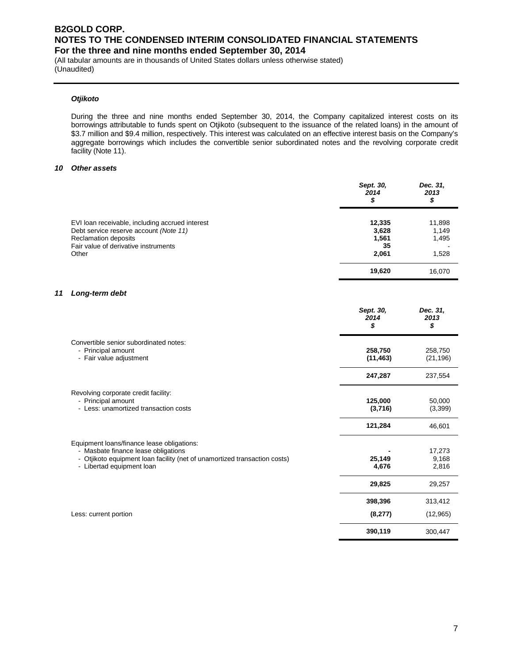(All tabular amounts are in thousands of United States dollars unless otherwise stated) (Unaudited)

#### *Otjikoto*

During the three and nine months ended September 30, 2014, the Company capitalized interest costs on its borrowings attributable to funds spent on Otjikoto (subsequent to the issuance of the related loans) in the amount of \$3.7 million and \$9.4 million, respectively. This interest was calculated on an effective interest basis on the Company's aggregate borrowings which includes the convertible senior subordinated notes and the revolving corporate credit facility (Note 11).

#### *10 Other assets*

|                                                                                           | Sept. 30,<br>2014<br>\$ | Dec. 31,<br>2013<br>\$ |
|-------------------------------------------------------------------------------------------|-------------------------|------------------------|
| EVI loan receivable, including accrued interest<br>Debt service reserve account (Note 11) | 12,335<br>3,628         | 11,898<br>1,149        |
| <b>Reclamation deposits</b><br>Fair value of derivative instruments<br>Other              | 1,561<br>35             | 1,495                  |
|                                                                                           | 2,061<br>19,620         | 1,528<br>16.070        |

#### *11 Long-term debt*

|                                                                                                                                                                                             | Sept. 30,<br>2014<br>S | Dec. 31,<br>2013<br>\$   |
|---------------------------------------------------------------------------------------------------------------------------------------------------------------------------------------------|------------------------|--------------------------|
| Convertible senior subordinated notes:<br>- Principal amount<br>- Fair value adjustment                                                                                                     | 258,750<br>(11, 463)   | 258,750<br>(21, 196)     |
|                                                                                                                                                                                             | 247,287                | 237,554                  |
| Revolving corporate credit facility:<br>- Principal amount<br>- Less: unamortized transaction costs                                                                                         | 125,000<br>(3,716)     | 50,000<br>(3,399)        |
|                                                                                                                                                                                             | 121,284                | 46,601                   |
| Equipment loans/finance lease obligations:<br>- Masbate finance lease obligations<br>- Otjikoto equipment loan facility (net of unamortized transaction costs)<br>- Libertad equipment loan | 25,149<br>4,676        | 17,273<br>9,168<br>2,816 |
|                                                                                                                                                                                             | 29,825                 | 29,257                   |
|                                                                                                                                                                                             | 398,396                | 313,412                  |
| Less: current portion                                                                                                                                                                       | (8,277)                | (12,965)                 |
|                                                                                                                                                                                             | 390,119                | 300,447                  |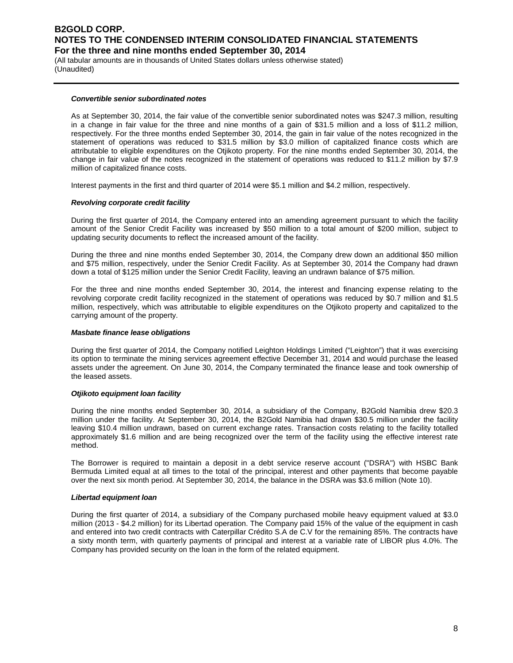(All tabular amounts are in thousands of United States dollars unless otherwise stated) (Unaudited)

#### *Convertible senior subordinated notes*

As at September 30, 2014, the fair value of the convertible senior subordinated notes was \$247.3 million, resulting in a change in fair value for the three and nine months of a gain of \$31.5 million and a loss of \$11.2 million, respectively. For the three months ended September 30, 2014, the gain in fair value of the notes recognized in the statement of operations was reduced to \$31.5 million by \$3.0 million of capitalized finance costs which are attributable to eligible expenditures on the Otjikoto property. For the nine months ended September 30, 2014, the change in fair value of the notes recognized in the statement of operations was reduced to \$11.2 million by \$7.9 million of capitalized finance costs.

Interest payments in the first and third quarter of 2014 were \$5.1 million and \$4.2 million, respectively.

#### *Revolving corporate credit facility*

During the first quarter of 2014, the Company entered into an amending agreement pursuant to which the facility amount of the Senior Credit Facility was increased by \$50 million to a total amount of \$200 million, subject to updating security documents to reflect the increased amount of the facility.

During the three and nine months ended September 30, 2014, the Company drew down an additional \$50 million and \$75 million, respectively, under the Senior Credit Facility. As at September 30, 2014 the Company had drawn down a total of \$125 million under the Senior Credit Facility, leaving an undrawn balance of \$75 million.

For the three and nine months ended September 30, 2014, the interest and financing expense relating to the revolving corporate credit facility recognized in the statement of operations was reduced by \$0.7 million and \$1.5 million, respectively, which was attributable to eligible expenditures on the Otjikoto property and capitalized to the carrying amount of the property.

#### *Masbate finance lease obligations*

During the first quarter of 2014, the Company notified Leighton Holdings Limited ("Leighton") that it was exercising its option to terminate the mining services agreement effective December 31, 2014 and would purchase the leased assets under the agreement. On June 30, 2014, the Company terminated the finance lease and took ownership of the leased assets.

#### *Otjikoto equipment loan facility*

During the nine months ended September 30, 2014, a subsidiary of the Company, B2Gold Namibia drew \$20.3 million under the facility. At September 30, 2014, the B2Gold Namibia had drawn \$30.5 million under the facility leaving \$10.4 million undrawn, based on current exchange rates. Transaction costs relating to the facility totalled approximately \$1.6 million and are being recognized over the term of the facility using the effective interest rate method.

The Borrower is required to maintain a deposit in a debt service reserve account ("DSRA") with HSBC Bank Bermuda Limited equal at all times to the total of the principal, interest and other payments that become payable over the next six month period. At September 30, 2014, the balance in the DSRA was \$3.6 million (Note 10).

#### *Libertad equipment loan*

During the first quarter of 2014, a subsidiary of the Company purchased mobile heavy equipment valued at \$3.0 million (2013 - \$4.2 million) for its Libertad operation. The Company paid 15% of the value of the equipment in cash and entered into two credit contracts with Caterpillar Crédito S.A de C.V for the remaining 85%. The contracts have a sixty month term, with quarterly payments of principal and interest at a variable rate of LIBOR plus 4.0%. The Company has provided security on the loan in the form of the related equipment.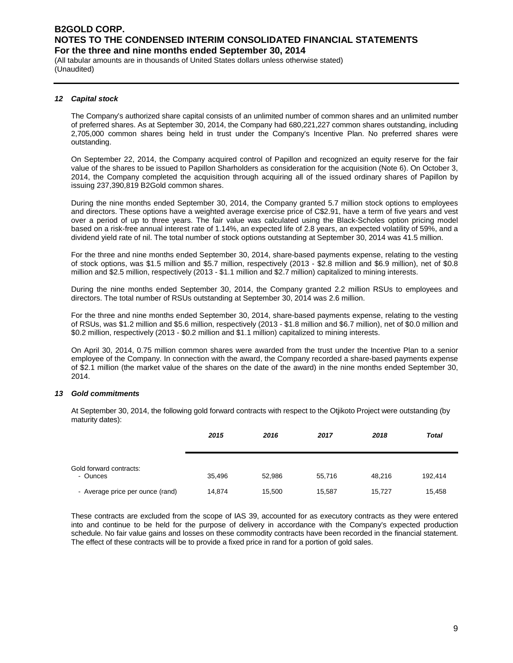(All tabular amounts are in thousands of United States dollars unless otherwise stated) (Unaudited)

#### *12 Capital stock*

The Company's authorized share capital consists of an unlimited number of common shares and an unlimited number of preferred shares. As at September 30, 2014, the Company had 680,221,227 common shares outstanding, including 2,705,000 common shares being held in trust under the Company's Incentive Plan. No preferred shares were outstanding.

On September 22, 2014, the Company acquired control of Papillon and recognized an equity reserve for the fair value of the shares to be issued to Papillon Sharholders as consideration for the acquisition (Note 6). On October 3, 2014, the Company completed the acquisition through acquiring all of the issued ordinary shares of Papillon by issuing 237,390,819 B2Gold common shares.

During the nine months ended September 30, 2014, the Company granted 5.7 million stock options to employees and directors. These options have a weighted average exercise price of C\$2.91, have a term of five years and vest over a period of up to three years. The fair value was calculated using the Black-Scholes option pricing model based on a risk-free annual interest rate of 1.14%, an expected life of 2.8 years, an expected volatility of 59%, and a dividend yield rate of nil. The total number of stock options outstanding at September 30, 2014 was 41.5 million.

For the three and nine months ended September 30, 2014, share-based payments expense, relating to the vesting of stock options, was \$1.5 million and \$5.7 million, respectively (2013 - \$2.8 million and \$6.9 million), net of \$0.8 million and \$2.5 million, respectively (2013 - \$1.1 million and \$2.7 million) capitalized to mining interests.

During the nine months ended September 30, 2014, the Company granted 2.2 million RSUs to employees and directors. The total number of RSUs outstanding at September 30, 2014 was 2.6 million.

For the three and nine months ended September 30, 2014, share-based payments expense, relating to the vesting of RSUs, was \$1.2 million and \$5.6 million, respectively (2013 - \$1.8 million and \$6.7 million), net of \$0.0 million and \$0.2 million, respectively (2013 - \$0.2 million and \$1.1 million) capitalized to mining interests.

On April 30, 2014, 0.75 million common shares were awarded from the trust under the Incentive Plan to a senior employee of the Company. In connection with the award, the Company recorded a share-based payments expense of \$2.1 million (the market value of the shares on the date of the award) in the nine months ended September 30, 2014.

## *13 Gold commitments*

At September 30, 2014, the following gold forward contracts with respect to the Otjikoto Project were outstanding (by maturity dates):

|                                     | 2015   | 2016   | 2017   | 2018   | <b>Total</b> |
|-------------------------------------|--------|--------|--------|--------|--------------|
| Gold forward contracts:<br>- Ounces | 35,496 | 52,986 | 55,716 | 48.216 | 192,414      |
| - Average price per ounce (rand)    | 14,874 | 15,500 | 15,587 | 15,727 | 15,458       |

These contracts are excluded from the scope of IAS 39, accounted for as executory contracts as they were entered into and continue to be held for the purpose of delivery in accordance with the Company's expected production schedule. No fair value gains and losses on these commodity contracts have been recorded in the financial statement. The effect of these contracts will be to provide a fixed price in rand for a portion of gold sales.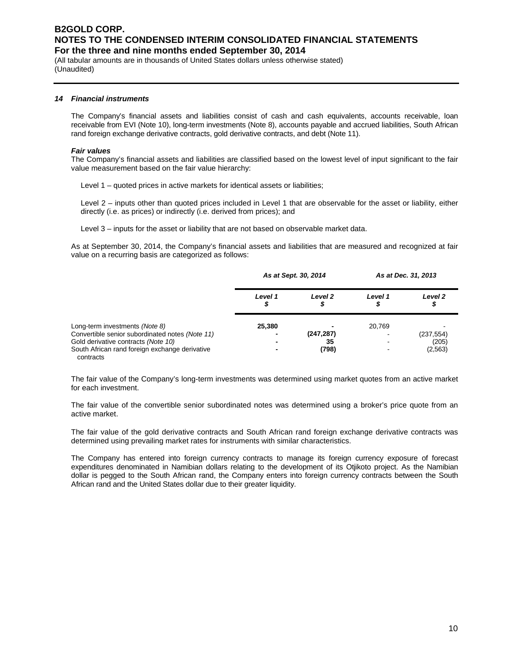(All tabular amounts are in thousands of United States dollars unless otherwise stated) (Unaudited)

#### *14 Financial instruments*

The Company's financial assets and liabilities consist of cash and cash equivalents, accounts receivable, loan receivable from EVI (Note 10), long-term investments (Note 8), accounts payable and accrued liabilities, South African rand foreign exchange derivative contracts, gold derivative contracts, and debt (Note 11).

#### *Fair values*

The Company's financial assets and liabilities are classified based on the lowest level of input significant to the fair value measurement based on the fair value hierarchy:

Level 1 – quoted prices in active markets for identical assets or liabilities;

Level 2 – inputs other than quoted prices included in Level 1 that are observable for the asset or liability, either directly (i.e. as prices) or indirectly (i.e. derived from prices); and

Level 3 – inputs for the asset or liability that are not based on observable market data.

As at September 30, 2014, the Company's financial assets and liabilities that are measured and recognized at fair value on a recurring basis are categorized as follows:

|                                                                                                                                                                                         | As at Sept. 30, 2014 |                           | As at Dec. 31, 2013 |                                 |
|-----------------------------------------------------------------------------------------------------------------------------------------------------------------------------------------|----------------------|---------------------------|---------------------|---------------------------------|
|                                                                                                                                                                                         | Level 1<br>5         | Level 2<br>Φ              | Level 1             | Level <sub>2</sub>              |
| Long-term investments (Note 8)<br>Convertible senior subordinated notes (Note 11)<br>Gold derivative contracts (Note 10)<br>South African rand foreign exchange derivative<br>contracts | 25,380               | (247, 287)<br>35<br>(798) | 20,769              | (237, 554)<br>(205)<br>(2, 563) |

The fair value of the Company's long-term investments was determined using market quotes from an active market for each investment.

The fair value of the convertible senior subordinated notes was determined using a broker's price quote from an active market.

The fair value of the gold derivative contracts and South African rand foreign exchange derivative contracts was determined using prevailing market rates for instruments with similar characteristics.

The Company has entered into foreign currency contracts to manage its foreign currency exposure of forecast expenditures denominated in Namibian dollars relating to the development of its Otjikoto project. As the Namibian dollar is pegged to the South African rand, the Company enters into foreign currency contracts between the South African rand and the United States dollar due to their greater liquidity.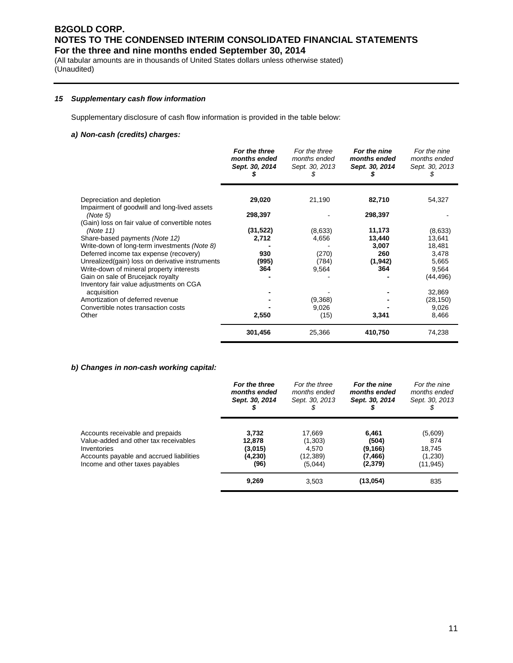(All tabular amounts are in thousands of United States dollars unless otherwise stated) (Unaudited)

#### *15 Supplementary cash flow information*

Supplementary disclosure of cash flow information is provided in the table below:

## *a) Non-cash (credits) charges:*

|                                                 | For the three<br>months ended<br>Sept. 30, 2014 | For the three<br>months ended<br>Sept. 30, 2013 | For the nine<br>months ended<br>Sept. 30, 2014 | For the nine<br>months ended<br>Sept. 30, 2013 |
|-------------------------------------------------|-------------------------------------------------|-------------------------------------------------|------------------------------------------------|------------------------------------------------|
| Depreciation and depletion                      | 29,020                                          | 21,190                                          | 82,710                                         | 54,327                                         |
| Impairment of goodwill and long-lived assets    |                                                 |                                                 |                                                |                                                |
| (Note 5)                                        | 298,397                                         |                                                 | 298,397                                        |                                                |
| (Gain) loss on fair value of convertible notes  |                                                 |                                                 |                                                |                                                |
| (Note 11)                                       | (31, 522)                                       | (8,633)                                         | 11,173                                         | (8,633)                                        |
| Share-based payments (Note 12)                  | 2,712                                           | 4,656                                           | 13,440                                         | 13,641                                         |
| Write-down of long-term investments (Note 8)    |                                                 |                                                 | 3,007                                          | 18,481                                         |
| Deferred income tax expense (recovery)          | 930                                             | (270)                                           | 260                                            | 3,478                                          |
| Unrealized(gain) loss on derivative instruments | (995)                                           | (784)                                           | (1, 942)                                       | 5,665                                          |
| Write-down of mineral property interests        | 364                                             | 9,564                                           | 364                                            | 9,564                                          |
| Gain on sale of Brucejack royalty               |                                                 |                                                 |                                                | (44, 496)                                      |
| Inventory fair value adjustments on CGA         |                                                 |                                                 |                                                |                                                |
| acquisition                                     |                                                 |                                                 |                                                | 32,869                                         |
| Amortization of deferred revenue                |                                                 | (9,368)                                         |                                                | (28, 150)                                      |
| Convertible notes transaction costs             |                                                 | 9,026                                           |                                                | 9,026                                          |
| Other                                           | 2,550                                           | (15)                                            | 3,341                                          | 8,466                                          |
|                                                 |                                                 |                                                 |                                                |                                                |
|                                                 | 301,456                                         | 25,366                                          | 410,750                                        | 74,238                                         |

#### *b) Changes in non-cash working capital:*

|                                          | For the three  | For the three  | For the nine   | For the nine   |
|------------------------------------------|----------------|----------------|----------------|----------------|
|                                          | months ended   | months ended   | months ended   | months ended   |
|                                          | Sept. 30, 2014 | Sept. 30, 2013 | Sept. 30, 2014 | Sept. 30, 2013 |
| Accounts receivable and prepaids         | 3.732          | 17,669         | 6.461          | (5,609)        |
| Value-added and other tax receivables    | 12,878         | (1,303)        | (504)          | 874            |
| Inventories                              | (3,015)        | 4.570          | (9, 166)       | 18,745         |
| Accounts payable and accrued liabilities | (4,230)        | (12,389)       | (7,466)        | (1,230)        |
| Income and other taxes payables          | (96)           | (5,044)        | (2,379)        | (11, 945)      |
|                                          | 9,269          | 3,503          | (13,054)       | 835            |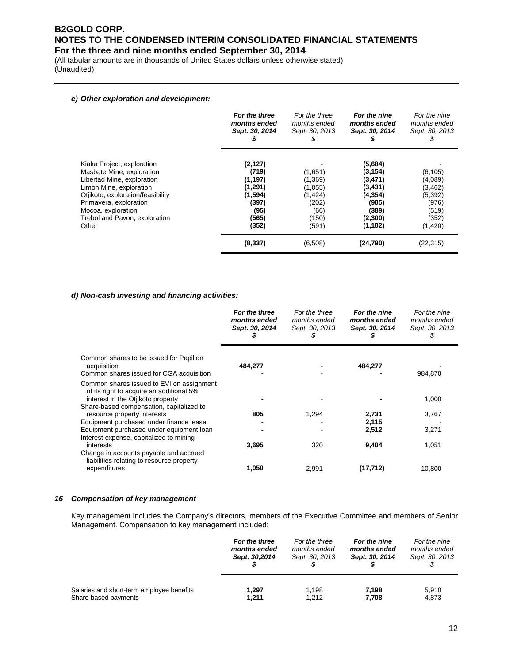(All tabular amounts are in thousands of United States dollars unless otherwise stated) (Unaudited)

#### *c) Other exploration and development:*

|                                                                                                                                                                                                                                                 | For the three<br>months ended<br>Sept. 30, 2014<br>s                                   | For the three<br>months ended<br>Sept. 30, 2013<br>Y.                        | For the nine<br>months ended<br>Sept. 30, 2014                                                  | For the nine<br>months ended<br>Sept. 30, 2013<br>Y.                               |
|-------------------------------------------------------------------------------------------------------------------------------------------------------------------------------------------------------------------------------------------------|----------------------------------------------------------------------------------------|------------------------------------------------------------------------------|-------------------------------------------------------------------------------------------------|------------------------------------------------------------------------------------|
| Kiaka Project, exploration<br>Masbate Mine, exploration<br>Libertad Mine, exploration<br>Limon Mine, exploration<br>Otjikoto, exploration/feasibility<br>Primavera, exploration<br>Mocoa, exploration<br>Trebol and Pavon, exploration<br>Other | (2, 127)<br>(719)<br>(1, 197)<br>(1,291)<br>(1,594)<br>(397)<br>(95)<br>(565)<br>(352) | (1,651)<br>(1,369)<br>(1,055)<br>(1, 424)<br>(202)<br>(66)<br>(150)<br>(591) | (5,684)<br>(3, 154)<br>(3,471)<br>(3, 431)<br>(4, 354)<br>(905)<br>(389)<br>(2,300)<br>(1, 102) | (6, 105)<br>(4,089)<br>(3, 462)<br>(5, 392)<br>(976)<br>(519)<br>(352)<br>(1, 420) |
|                                                                                                                                                                                                                                                 | (8, 337)                                                                               | (6,508)                                                                      | (24, 790)                                                                                       | (22, 315)                                                                          |

#### *d) Non-cash investing and financing activities:*

|                                                                                                                                | For the three<br>months ended<br>Sept. 30, 2014 | For the three<br>months ended<br>Sept. 30, 2013<br>\$ | For the nine<br>months ended<br>Sept. 30, 2014 | For the nine<br>months ended<br>Sept. 30, 2013<br>S |
|--------------------------------------------------------------------------------------------------------------------------------|-------------------------------------------------|-------------------------------------------------------|------------------------------------------------|-----------------------------------------------------|
| Common shares to be issued for Papillon<br>acquisition                                                                         | 484,277                                         |                                                       | 484,277                                        |                                                     |
| Common shares issued for CGA acquisition                                                                                       |                                                 |                                                       |                                                | 984,870                                             |
| Common shares issued to EVI on assignment<br>of its right to acquire an additional 5%<br>interest in the Otiikoto property     |                                                 |                                                       |                                                | 1,000                                               |
| Share-based compensation, capitalized to<br>resource property interests                                                        | 805                                             | 1,294                                                 | 2,731                                          | 3,767                                               |
| Equipment purchased under finance lease<br>Equipment purchased under equipment loan<br>Interest expense, capitalized to mining |                                                 |                                                       | 2,115<br>2,512                                 | 3,271                                               |
| interests<br>Change in accounts payable and accrued<br>liabilities relating to resource property                               | 3,695                                           | 320                                                   | 9,404                                          | 1,051                                               |
| expenditures                                                                                                                   | 1,050                                           | 2,991                                                 | (17,712)                                       | 10,800                                              |

#### *16 Compensation of key management*

Key management includes the Company's directors, members of the Executive Committee and members of Senior Management. Compensation to key management included:

|                                           | For the three | For the three  | For the nine   | For the nine   |
|-------------------------------------------|---------------|----------------|----------------|----------------|
|                                           | months ended  | months ended   | months ended   | months ended   |
|                                           | Sept. 30,2014 | Sept. 30, 2013 | Sept. 30, 2014 | Sept. 30, 2013 |
| Salaries and short-term employee benefits | 1.297         | 1.198          | 7.198          | 5,910          |
| Share-based payments                      | 1,211         | 1.212          | 7,708          | 4,873          |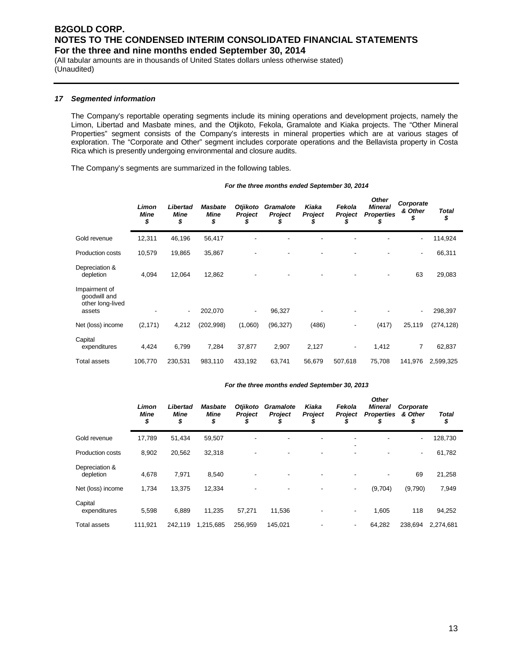(All tabular amounts are in thousands of United States dollars unless otherwise stated) (Unaudited)

#### *17 Segmented information*

The Company's reportable operating segments include its mining operations and development projects, namely the Limon, Libertad and Masbate mines, and the Otjikoto, Fekola, Gramalote and Kiaka projects. The "Other Mineral Properties" segment consists of the Company's interests in mineral properties which are at various stages of exploration. The "Corporate and Other" segment includes corporate operations and the Bellavista property in Costa Rica which is presently undergoing environmental and closure audits.

The Company's segments are summarized in the following tables.

|                                                             | Limon<br>Mine<br>\$ | Libertad<br><b>Mine</b><br>\$ | <b>Masbate</b><br><b>Mine</b><br>\$ | Otjikoto<br><b>Project</b><br>S | <b>Gramalote</b><br>Project<br>S | Kiaka<br>Project<br>\$ | Fekola<br>Project<br>S   | <b>Other</b><br><b>Mineral</b><br><b>Properties</b><br>S | Corporate<br>& Other | <b>Total</b><br>\$ |
|-------------------------------------------------------------|---------------------|-------------------------------|-------------------------------------|---------------------------------|----------------------------------|------------------------|--------------------------|----------------------------------------------------------|----------------------|--------------------|
| Gold revenue                                                | 12,311              | 46,196                        | 56,417                              |                                 |                                  |                        |                          |                                                          |                      | 114,924            |
| <b>Production costs</b>                                     | 10,579              | 19,865                        | 35,867                              |                                 |                                  |                        |                          |                                                          | ۰                    | 66,311             |
| Depreciation &<br>depletion                                 | 4,094               | 12,064                        | 12,862                              |                                 |                                  |                        |                          | -                                                        | 63                   | 29,083             |
| Impairment of<br>goodwill and<br>other long-lived<br>assets |                     | ۰                             | 202,070                             | ٠                               | 96,327                           |                        |                          |                                                          | ۰                    | 298,397            |
| Net (loss) income                                           | (2, 171)            | 4,212                         | (202, 998)                          | (1,060)                         | (96, 327)                        | (486)                  |                          | (417)                                                    | 25,119               | (274, 128)         |
| Capital<br>expenditures                                     | 4,424               | 6,799                         | 7,284                               | 37,877                          | 2,907                            | 2,127                  | $\overline{\phantom{a}}$ | 1,412                                                    | 7                    | 62,837             |
| <b>Total assets</b>                                         | 106,770             | 230,531                       | 983,110                             | 433,192                         | 63,741                           | 56,679                 | 507,618                  | 75,708                                                   | 141,976              | 2,599,325          |

#### *For the three months ended September 30, 2014*

#### *For the three months ended September 30, 2013*

|                             | Limon<br><b>Mine</b><br>\$ | Libertad<br><b>Mine</b><br>\$ | <b>Masbate</b><br><b>Mine</b><br>\$ | <b>Otjikoto</b><br><b>Project</b> | Gramalote<br><b>Project</b> | Kiaka<br><b>Project</b> | Fekola<br><b>Project</b>      | <b>Other</b><br><b>Mineral</b><br><b>Properties</b><br>D | Corporate<br>& Other<br>\$ | <b>Total</b><br>\$ |
|-----------------------------|----------------------------|-------------------------------|-------------------------------------|-----------------------------------|-----------------------------|-------------------------|-------------------------------|----------------------------------------------------------|----------------------------|--------------------|
| Gold revenue                | 17.789                     | 51,434                        | 59,507                              |                                   |                             |                         |                               |                                                          | $\overline{\phantom{a}}$   | 128,730            |
| <b>Production costs</b>     | 8,902                      | 20,562                        | 32,318                              |                                   |                             |                         | -<br>$\overline{\phantom{a}}$ |                                                          | $\overline{\phantom{a}}$   | 61,782             |
| Depreciation &<br>depletion | 4,678                      | 7,971                         | 8,540                               |                                   |                             |                         |                               |                                                          | 69                         | 21,258             |
| Net (loss) income           | 1,734                      | 13.375                        | 12,334                              |                                   |                             |                         | ٠                             | (9,704)                                                  | (9,790)                    | 7,949              |
| Capital<br>expenditures     | 5,598                      | 6,889                         | 11,235                              | 57,271                            | 11,536                      |                         | ٠                             | 1,605                                                    | 118                        | 94,252             |
| <b>Total assets</b>         | 111.921                    | 242.119                       | 1.215.685                           | 256.959                           | 145.021                     |                         | ۰                             | 64.282                                                   | 238,694                    | 2.274.681          |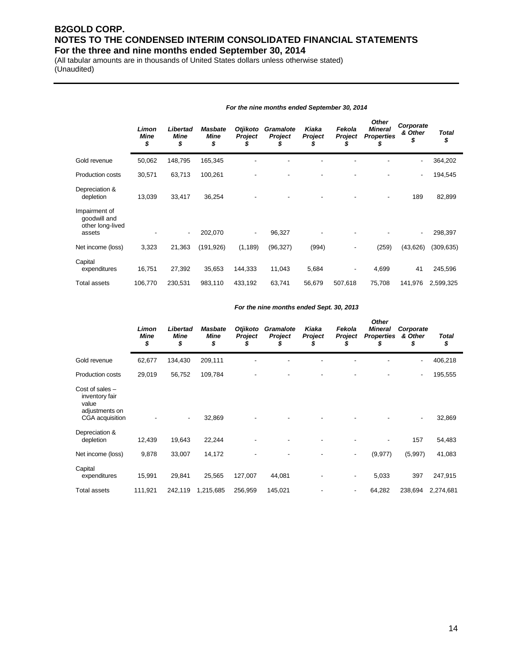(All tabular amounts are in thousands of United States dollars unless otherwise stated) (Unaudited)

|                                                             | Limon<br><b>Mine</b><br>\$ | Libertad<br>Mine<br>\$   | <b>Masbate</b><br><b>Mine</b><br>\$ | Otjikoto<br><b>Project</b><br>Ğ. | <b>Gramalote</b><br>Project<br>J | Kiaka<br>Project<br>J | Fekola<br><b>Project</b><br>5 | <b>Other</b><br><b>Mineral</b><br><b>Properties</b><br>\$ | Corporate<br>& Other<br>\$ | <b>Total</b><br>\$ |
|-------------------------------------------------------------|----------------------------|--------------------------|-------------------------------------|----------------------------------|----------------------------------|-----------------------|-------------------------------|-----------------------------------------------------------|----------------------------|--------------------|
| Gold revenue                                                | 50,062                     | 148,795                  | 165,345                             |                                  |                                  |                       |                               |                                                           | $\overline{\phantom{0}}$   | 364,202            |
| <b>Production costs</b>                                     | 30,571                     | 63,713                   | 100,261                             |                                  |                                  |                       |                               |                                                           | ۰                          | 194,545            |
| Depreciation &<br>depletion                                 | 13,039                     | 33,417                   | 36,254                              |                                  |                                  |                       |                               | ٠                                                         | 189                        | 82,899             |
| Impairment of<br>goodwill and<br>other long-lived<br>assets |                            | $\overline{\phantom{a}}$ | 202,070                             | -                                | 96,327                           |                       |                               |                                                           | ٠                          | 298,397            |
| Net income (loss)                                           | 3,323                      | 21,363                   | (191, 926)                          | (1, 189)                         | (96, 327)                        | (994)                 |                               | (259)                                                     | (43, 626)                  | (309, 635)         |
| Capital<br>expenditures                                     | 16,751                     | 27,392                   | 35,653                              | 144,333                          | 11,043                           | 5,684                 | $\blacksquare$                | 4,699                                                     | 41                         | 245,596            |
| <b>Total assets</b>                                         | 106,770                    | 230,531                  | 983,110                             | 433,192                          | 63,741                           | 56,679                | 507,618                       | 75,708                                                    | 141,976                    | 2,599,325          |

#### *For the nine months ended Sept. 30, 2013*

*For the nine months ended September 30, 2014*

|                                                                                   | Limon<br><b>Mine</b><br>\$ | Libertad<br>Mine<br>\$ | <b>Masbate</b><br>Mine<br>\$ | <b>Otjikoto</b><br>Project | Gramalote<br><b>Project</b> | Kiaka<br><b>Project</b> | Fekola<br><b>Project</b><br>Ъ | <b>Other</b><br><b>Mineral</b><br><b>Properties</b><br>\$ | Corporate<br>& Other<br>\$ | Total<br>\$ |
|-----------------------------------------------------------------------------------|----------------------------|------------------------|------------------------------|----------------------------|-----------------------------|-------------------------|-------------------------------|-----------------------------------------------------------|----------------------------|-------------|
| Gold revenue                                                                      | 62,677                     | 134,430                | 209,111                      |                            |                             |                         |                               |                                                           | ۰                          | 406,218     |
| Production costs                                                                  | 29,019                     | 56,752                 | 109,784                      |                            |                             |                         |                               |                                                           | ٠                          | 195,555     |
| Cost of sales $-$<br>inventory fair<br>value<br>adjustments on<br>CGA acquisition |                            |                        | 32,869                       |                            |                             |                         |                               |                                                           | $\overline{\phantom{a}}$   | 32,869      |
| Depreciation &<br>depletion                                                       | 12,439                     | 19,643                 | 22,244                       |                            |                             |                         |                               |                                                           | 157                        | 54,483      |
| Net income (loss)                                                                 | 9,878                      | 33,007                 | 14,172                       |                            |                             |                         | ٠                             | (9, 977)                                                  | (5,997)                    | 41,083      |
| Capital<br>expenditures                                                           | 15,991                     | 29,841                 | 25,565                       | 127,007                    | 44,081                      |                         | -                             | 5,033                                                     | 397                        | 247,915     |
| Total assets                                                                      | 111,921                    | 242,119                | 1,215,685                    | 256,959                    | 145,021                     |                         | ۰                             | 64,282                                                    | 238,694                    | 2,274,681   |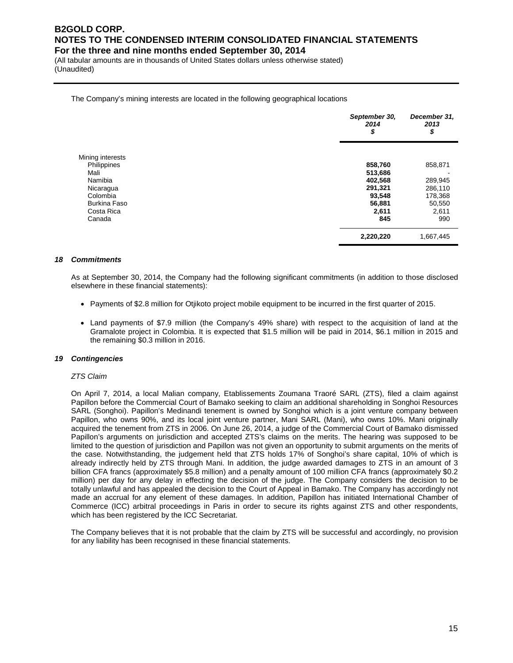(All tabular amounts are in thousands of United States dollars unless otherwise stated) (Unaudited)

#### The Company's mining interests are located in the following geographical locations

|                     | September 30,<br>2014<br>\$ | December 31,<br>2013<br>\$ |
|---------------------|-----------------------------|----------------------------|
| Mining interests    |                             |                            |
| Philippines         | 858,760                     | 858,871                    |
| Mali                | 513,686                     |                            |
| Namibia             | 402,568                     | 289,945                    |
| Nicaragua           | 291,321                     | 286,110                    |
| Colombia            | 93,548                      | 178,368                    |
| <b>Burkina Faso</b> | 56,881                      | 50,550                     |
| Costa Rica          | 2,611                       | 2,611                      |
| Canada              | 845                         | 990                        |
|                     | 2,220,220                   | 1,667,445                  |

#### *18 Commitments*

As at September 30, 2014, the Company had the following significant commitments (in addition to those disclosed elsewhere in these financial statements):

- Payments of \$2.8 million for Otjikoto project mobile equipment to be incurred in the first quarter of 2015.
- Land payments of \$7.9 million (the Company's 49% share) with respect to the acquisition of land at the Gramalote project in Colombia. It is expected that \$1.5 million will be paid in 2014, \$6.1 million in 2015 and the remaining \$0.3 million in 2016.

#### *19 Contingencies*

#### *ZTS Claim*

On April 7, 2014, a local Malian company, Etablissements Zoumana Traoré SARL (ZTS), filed a claim against Papillon before the Commercial Court of Bamako seeking to claim an additional shareholding in Songhoi Resources SARL (Songhoi). Papillon's Medinandi tenement is owned by Songhoi which is a joint venture company between Papillon, who owns 90%, and its local joint venture partner, Mani SARL (Mani), who owns 10%. Mani originally acquired the tenement from ZTS in 2006. On June 26, 2014, a judge of the Commercial Court of Bamako dismissed Papillon's arguments on jurisdiction and accepted ZTS's claims on the merits. The hearing was supposed to be limited to the question of jurisdiction and Papillon was not given an opportunity to submit arguments on the merits of the case. Notwithstanding, the judgement held that ZTS holds 17% of Songhoi's share capital, 10% of which is already indirectly held by ZTS through Mani. In addition, the judge awarded damages to ZTS in an amount of 3 billion CFA francs (approximately \$5.8 million) and a penalty amount of 100 million CFA francs (approximately \$0.2 million) per day for any delay in effecting the decision of the judge. The Company considers the decision to be totally unlawful and has appealed the decision to the Court of Appeal in Bamako. The Company has accordingly not made an accrual for any element of these damages. In addition, Papillon has initiated International Chamber of Commerce (ICC) arbitral proceedings in Paris in order to secure its rights against ZTS and other respondents, which has been registered by the ICC Secretariat.

The Company believes that it is not probable that the claim by ZTS will be successful and accordingly, no provision for any liability has been recognised in these financial statements.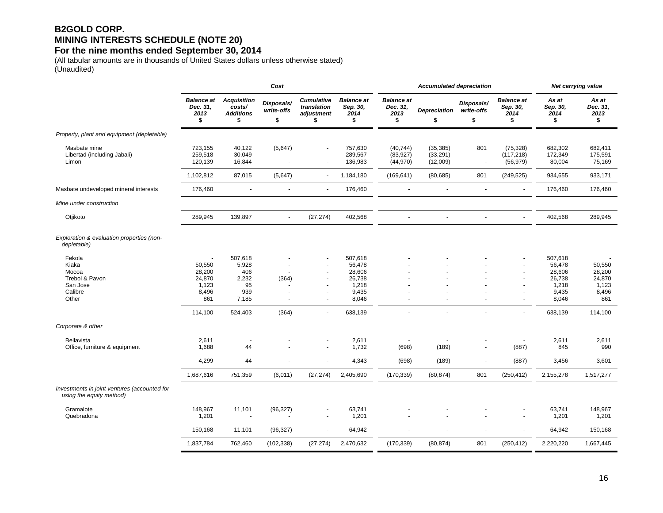## **B2GOLD CORP. MINING INTERESTS SCHEDULE (NOTE 20)**

### **For the nine months ended September 30, 2014**

(All tabular amounts are in thousands of United States dollars unless otherwise stated) (Unaudited)

|                                                                            | Cost                                                |                                                        |                                |                                                                        |                                                                  |                                             | <b>Accumulated depreciation</b>    | Net carrying value             |                                                    |                                                                  |                                                     |
|----------------------------------------------------------------------------|-----------------------------------------------------|--------------------------------------------------------|--------------------------------|------------------------------------------------------------------------|------------------------------------------------------------------|---------------------------------------------|------------------------------------|--------------------------------|----------------------------------------------------|------------------------------------------------------------------|-----------------------------------------------------|
|                                                                            | <b>Balance at</b><br>Dec. 31,<br>2013<br>\$         | <b>Acquisition</b><br>costs/<br><b>Additions</b><br>\$ | Disposals/<br>write-offs<br>\$ | <b>Cumulative</b><br>translation<br>adjustment<br>\$                   | <b>Balance</b> at<br>Sep. 30,<br>2014<br>\$                      | <b>Balance</b> at<br>Dec. 31,<br>2013<br>\$ | <b>Depreciation</b><br>\$          | Disposals/<br>write-offs<br>\$ | <b>Balance</b> at<br>Sep. 30,<br>2014<br>\$        | As at<br>Sep. 30,<br>2014<br>\$                                  | As at<br>Dec. 31,<br>2013<br>\$                     |
| Property, plant and equipment (depletable)                                 |                                                     |                                                        |                                |                                                                        |                                                                  |                                             |                                    |                                |                                                    |                                                                  |                                                     |
| Masbate mine<br>Libertad (including Jabali)<br>Limon                       | 723,155<br>259,518<br>120,139                       | 40,122<br>30,049<br>16,844                             | (5,647)                        | $\blacksquare$<br>ä,                                                   | 757,630<br>289,567<br>136,983                                    | (40, 744)<br>(83, 927)<br>(44, 970)         | (35, 385)<br>(33, 291)<br>(12,009) | 801<br>$\blacksquare$<br>Ĭ.    | (75, 328)<br>(117, 218)<br>(56, 979)               | 682,302<br>172,349<br>80,004                                     | 682,411<br>175,591<br>75,169                        |
|                                                                            | 1,102,812                                           | 87,015                                                 | (5,647)                        | $\blacksquare$                                                         | 1,184,180                                                        | (169, 641)                                  | (80, 685)                          | 801                            | (249, 525)                                         | 934,655                                                          | 933,171                                             |
| Masbate undeveloped mineral interests                                      | 176,460                                             | $\tilde{\phantom{a}}$                                  |                                | $\blacksquare$                                                         | 176,460                                                          |                                             |                                    | $\overline{\phantom{a}}$       | $\blacksquare$                                     | 176,460                                                          | 176,460                                             |
| Mine under construction                                                    |                                                     |                                                        |                                |                                                                        |                                                                  |                                             |                                    |                                |                                                    |                                                                  |                                                     |
| Otjikoto                                                                   | 289,945                                             | 139,897                                                | $\sim$                         | (27, 274)                                                              | 402,568                                                          |                                             |                                    | $\sim$                         |                                                    | 402,568                                                          | 289,945                                             |
| Exploration & evaluation properties (non-<br>depletable)                   |                                                     |                                                        |                                |                                                                        |                                                                  |                                             |                                    |                                |                                                    |                                                                  |                                                     |
| Fekola<br>Kiaka<br>Mocoa<br>Trebol & Pavon<br>San Jose<br>Calibre<br>Other | 50,550<br>28,200<br>24,870<br>1,123<br>8,496<br>861 | 507,618<br>5,928<br>406<br>2,232<br>95<br>939<br>7,185 | (364)                          | $\overline{\phantom{a}}$<br>$\overline{\phantom{a}}$<br>$\blacksquare$ | 507,618<br>56,478<br>28,606<br>26,738<br>1,218<br>9,435<br>8,046 |                                             |                                    |                                | $\blacksquare$<br>$\blacksquare$<br>$\overline{a}$ | 507,618<br>56,478<br>28,606<br>26,738<br>1,218<br>9,435<br>8,046 | 50,550<br>28,200<br>24,870<br>1,123<br>8,496<br>861 |
|                                                                            | 114,100                                             | 524,403                                                | (364)                          | $\sim$                                                                 | 638,139                                                          | $\blacksquare$                              |                                    | $\sim$                         | $\omega$                                           | 638,139                                                          | 114,100                                             |
| Corporate & other                                                          |                                                     |                                                        |                                |                                                                        |                                                                  |                                             |                                    |                                |                                                    |                                                                  |                                                     |
| <b>Bellavista</b><br>Office, furniture & equipment                         | 2,611<br>1,688                                      | 44                                                     | $\sim$                         | $\sim$                                                                 | 2,611<br>1,732                                                   | (698)                                       | (189)                              | $\blacksquare$                 | (887)                                              | 2,611<br>845                                                     | 2,611<br>990                                        |
|                                                                            | 4,299                                               | 44                                                     |                                | $\blacksquare$                                                         | 4,343                                                            | (698)                                       | (189)                              | $\blacksquare$                 | (887)                                              | 3,456                                                            | 3,601                                               |
|                                                                            | 1,687,616                                           | 751,359                                                | (6,011)                        | (27, 274)                                                              | 2,405,690                                                        | (170, 339)                                  | (80, 874)                          | 801                            | (250, 412)                                         | 2,155,278                                                        | 1,517,277                                           |
| Investments in joint ventures (accounted for<br>using the equity method)   |                                                     |                                                        |                                |                                                                        |                                                                  |                                             |                                    |                                |                                                    |                                                                  |                                                     |
| Gramalote<br>Quebradona                                                    | 148,967<br>1,201                                    | 11,101<br>$\overline{\phantom{a}}$                     | (96, 327)                      | $\sim$                                                                 | 63,741<br>1,201                                                  |                                             |                                    | $\sim$                         | $\blacksquare$                                     | 63,741<br>1,201                                                  | 148,967<br>1,201                                    |
|                                                                            | 150,168                                             | 11,101                                                 | (96, 327)                      | $\sim$                                                                 | 64,942                                                           | ÷.                                          |                                    |                                | $\mathbf{r}$                                       | 64,942                                                           | 150,168                                             |
|                                                                            | 1,837,784                                           | 762,460                                                | (102, 338)                     | (27, 274)                                                              | 2,470,632                                                        | (170, 339)                                  | (80, 874)                          | 801                            | (250, 412)                                         | 2,220,220                                                        | 1,667,445                                           |